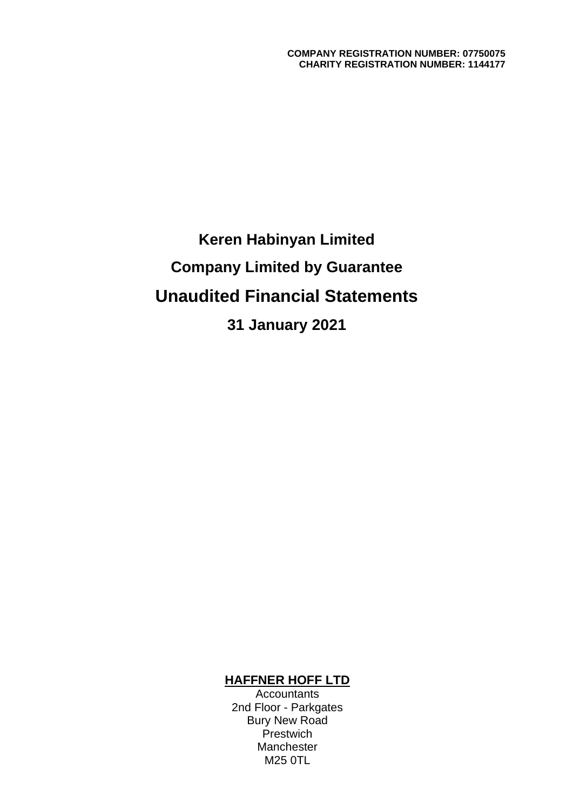**Keren Habinyan Limited Company Limited by Guarantee Unaudited Financial Statements 31 January 2021**

### **HAFFNER HOFF LTD**

Accountants 2nd Floor - Parkgates Bury New Road **Prestwich** Manchester M25 0TL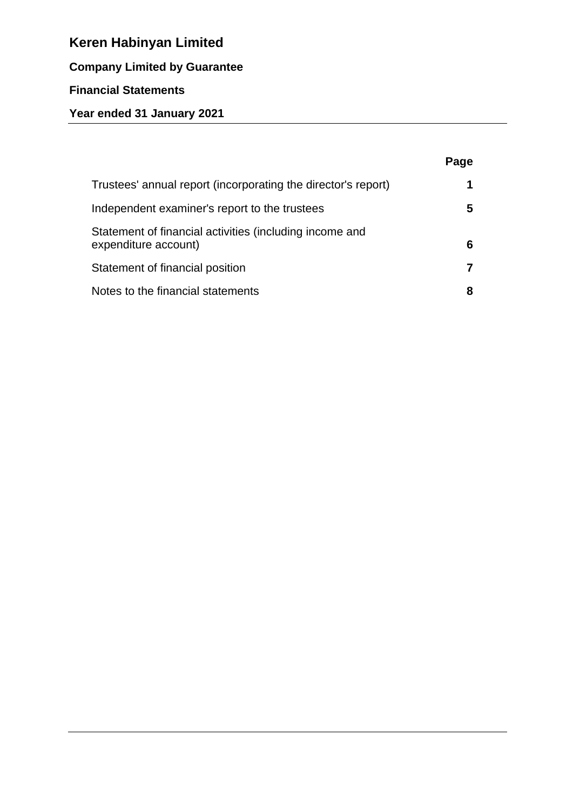# **Company Limited by Guarantee**

## **Financial Statements**

# **Year ended 31 January 2021**

|                                                                                 | Page |
|---------------------------------------------------------------------------------|------|
| Trustees' annual report (incorporating the director's report)                   | 1    |
| Independent examiner's report to the trustees                                   | 5    |
| Statement of financial activities (including income and<br>expenditure account) | 6    |
| Statement of financial position                                                 |      |
| Notes to the financial statements                                               | 8    |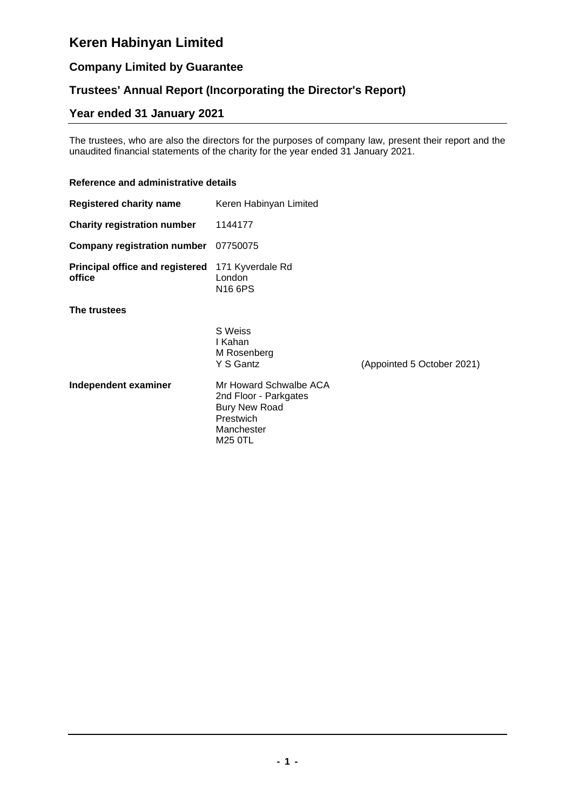## **Company Limited by Guarantee**

### **Trustees' Annual Report (Incorporating the Director's Report)**

# **Year ended 31 January 2021**

The trustees, who are also the directors for the purposes of company law, present their report and the unaudited financial statements of the charity for the year ended 31 January 2021.

### **Reference and administrative details**

| <b>Registered charity name</b>                   | Keren Habinyan Limited                                                                             |                            |
|--------------------------------------------------|----------------------------------------------------------------------------------------------------|----------------------------|
| <b>Charity registration number</b>               | 1144177                                                                                            |                            |
| <b>Company registration number</b>               | 07750075                                                                                           |                            |
| <b>Principal office and registered</b><br>office | 171 Kyverdale Rd<br>London<br>N <sub>16</sub> 6PS                                                  |                            |
| The trustees                                     |                                                                                                    |                            |
|                                                  | S Weiss<br>I Kahan<br>M Rosenberg<br>Y S Gantz                                                     | (Appointed 5 October 2021) |
| Independent examiner                             | Mr Howard Schwalbe ACA<br>2nd Floor - Parkgates<br><b>Bury New Road</b><br>Prestwich<br>Manchester |                            |

M25 0TL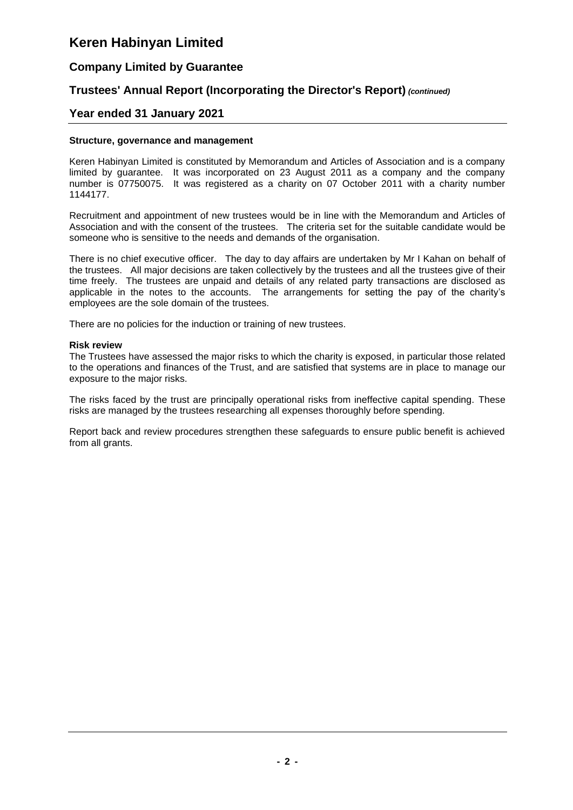### **Company Limited by Guarantee**

### **Trustees' Annual Report (Incorporating the Director's Report)** *(continued)*

### **Year ended 31 January 2021**

#### **Structure, governance and management**

Keren Habinyan Limited is constituted by Memorandum and Articles of Association and is a company limited by guarantee. It was incorporated on 23 August 2011 as a company and the company number is 07750075. It was registered as a charity on 07 October 2011 with a charity number 1144177.

Recruitment and appointment of new trustees would be in line with the Memorandum and Articles of Association and with the consent of the trustees. The criteria set for the suitable candidate would be someone who is sensitive to the needs and demands of the organisation.

There is no chief executive officer. The day to day affairs are undertaken by Mr I Kahan on behalf of the trustees. All major decisions are taken collectively by the trustees and all the trustees give of their time freely. The trustees are unpaid and details of any related party transactions are disclosed as applicable in the notes to the accounts. The arrangements for setting the pay of the charity's employees are the sole domain of the trustees.

There are no policies for the induction or training of new trustees.

#### **Risk review**

The Trustees have assessed the major risks to which the charity is exposed, in particular those related to the operations and finances of the Trust, and are satisfied that systems are in place to manage our exposure to the major risks.

The risks faced by the trust are principally operational risks from ineffective capital spending. These risks are managed by the trustees researching all expenses thoroughly before spending.

Report back and review procedures strengthen these safeguards to ensure public benefit is achieved from all grants.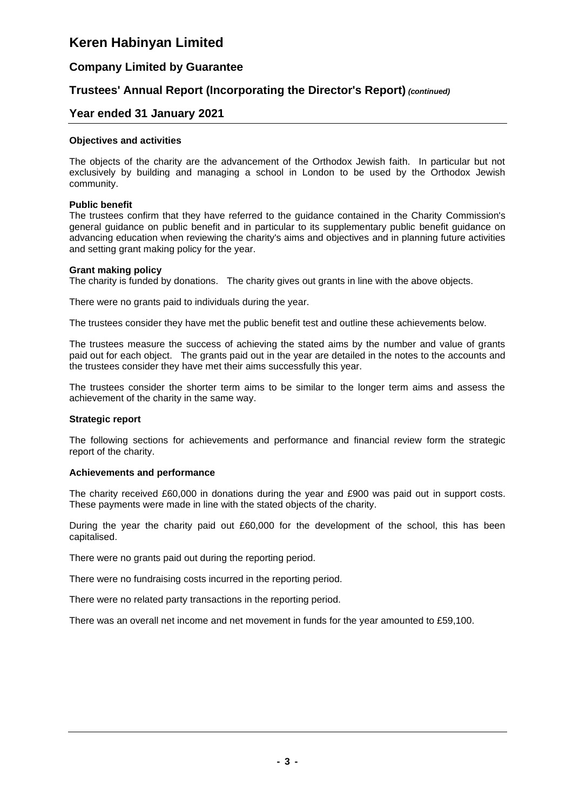### **Company Limited by Guarantee**

### **Trustees' Annual Report (Incorporating the Director's Report)** *(continued)*

### **Year ended 31 January 2021**

#### **Objectives and activities**

The objects of the charity are the advancement of the Orthodox Jewish faith. In particular but not exclusively by building and managing a school in London to be used by the Orthodox Jewish community.

#### **Public benefit**

The trustees confirm that they have referred to the guidance contained in the Charity Commission's general guidance on public benefit and in particular to its supplementary public benefit guidance on advancing education when reviewing the charity's aims and objectives and in planning future activities and setting grant making policy for the year.

#### **Grant making policy**

The charity is funded by donations. The charity gives out grants in line with the above objects.

There were no grants paid to individuals during the year.

The trustees consider they have met the public benefit test and outline these achievements below.

The trustees measure the success of achieving the stated aims by the number and value of grants paid out for each object. The grants paid out in the year are detailed in the notes to the accounts and the trustees consider they have met their aims successfully this year.

The trustees consider the shorter term aims to be similar to the longer term aims and assess the achievement of the charity in the same way.

#### **Strategic report**

The following sections for achievements and performance and financial review form the strategic report of the charity.

#### **Achievements and performance**

The charity received £60,000 in donations during the year and £900 was paid out in support costs. These payments were made in line with the stated objects of the charity.

During the year the charity paid out £60,000 for the development of the school, this has been capitalised.

There were no grants paid out during the reporting period.

There were no fundraising costs incurred in the reporting period.

There were no related party transactions in the reporting period.

There was an overall net income and net movement in funds for the year amounted to £59,100.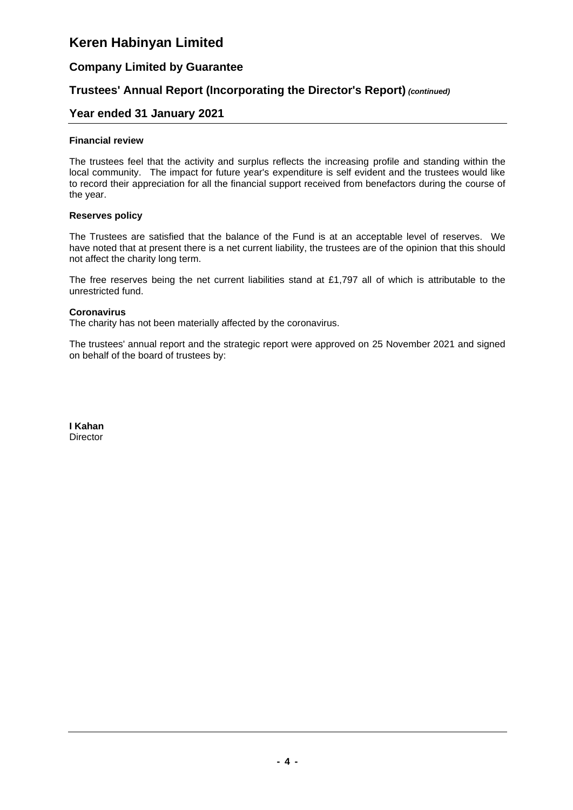### **Company Limited by Guarantee**

### **Trustees' Annual Report (Incorporating the Director's Report)** *(continued)*

### **Year ended 31 January 2021**

#### **Financial review**

The trustees feel that the activity and surplus reflects the increasing profile and standing within the local community. The impact for future year's expenditure is self evident and the trustees would like to record their appreciation for all the financial support received from benefactors during the course of the year.

#### **Reserves policy**

The Trustees are satisfied that the balance of the Fund is at an acceptable level of reserves. We have noted that at present there is a net current liability, the trustees are of the opinion that this should not affect the charity long term.

The free reserves being the net current liabilities stand at £1,797 all of which is attributable to the unrestricted fund.

### **Coronavirus**

The charity has not been materially affected by the coronavirus.

The trustees' annual report and the strategic report were approved on 25 November 2021 and signed on behalf of the board of trustees by:

**I Kahan Director**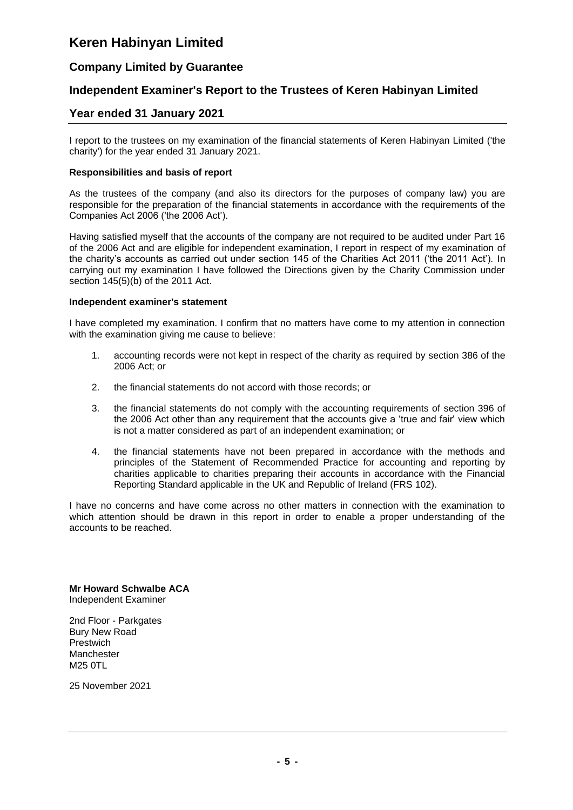### **Company Limited by Guarantee**

### **Independent Examiner's Report to the Trustees of Keren Habinyan Limited**

### **Year ended 31 January 2021**

I report to the trustees on my examination of the financial statements of Keren Habinyan Limited ('the charity') for the year ended 31 January 2021.

#### **Responsibilities and basis of report**

As the trustees of the company (and also its directors for the purposes of company law) you are responsible for the preparation of the financial statements in accordance with the requirements of the Companies Act 2006 ('the 2006 Act').

Having satisfied myself that the accounts of the company are not required to be audited under Part 16 of the 2006 Act and are eligible for independent examination, I report in respect of my examination of the charity's accounts as carried out under section 145 of the Charities Act 2011 ('the 2011 Act'). In carrying out my examination I have followed the Directions given by the Charity Commission under section 145(5)(b) of the 2011 Act.

#### **Independent examiner's statement**

I have completed my examination. I confirm that no matters have come to my attention in connection with the examination giving me cause to believe:

- 1. accounting records were not kept in respect of the charity as required by section 386 of the 2006 Act; or
- 2. the financial statements do not accord with those records; or
- 3. the financial statements do not comply with the accounting requirements of section 396 of the 2006 Act other than any requirement that the accounts give a 'true and fair' view which is not a matter considered as part of an independent examination; or
- 4. the financial statements have not been prepared in accordance with the methods and principles of the Statement of Recommended Practice for accounting and reporting by charities applicable to charities preparing their accounts in accordance with the Financial Reporting Standard applicable in the UK and Republic of Ireland (FRS 102).

I have no concerns and have come across no other matters in connection with the examination to which attention should be drawn in this report in order to enable a proper understanding of the accounts to be reached.

**Mr Howard Schwalbe ACA** Independent Examiner

2nd Floor - Parkgates Bury New Road Prestwich Manchester M25 0TL

25 November 2021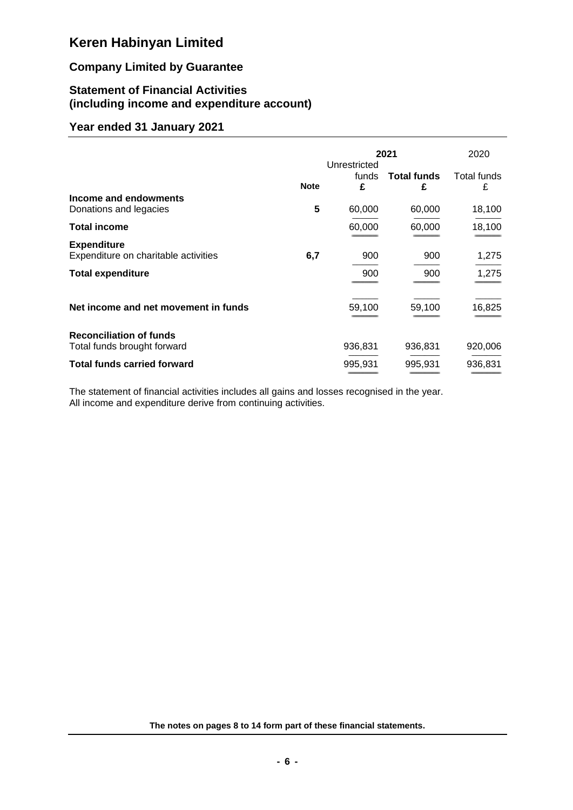## **Company Limited by Guarantee**

### **Statement of Financial Activities (including income and expenditure account)**

### **Year ended 31 January 2021**

|                                                               |             |                            | 2021                    | 2020             |  |
|---------------------------------------------------------------|-------------|----------------------------|-------------------------|------------------|--|
|                                                               | <b>Note</b> | Unrestricted<br>funds<br>£ | <b>Total funds</b><br>£ | Total funds<br>£ |  |
| Income and endowments<br>Donations and legacies               | 5           | 60,000                     | 60,000                  | 18,100           |  |
| <b>Total income</b>                                           |             | 60,000                     | 60,000                  | 18,100           |  |
| <b>Expenditure</b><br>Expenditure on charitable activities    | 6,7         | 900                        | 900                     | 1,275            |  |
| <b>Total expenditure</b>                                      |             | 900                        | 900                     | 1,275            |  |
| Net income and net movement in funds                          |             | 59,100                     | 59,100                  | 16,825           |  |
| <b>Reconciliation of funds</b><br>Total funds brought forward |             | 936,831                    | 936,831                 | 920,006          |  |
| <b>Total funds carried forward</b>                            |             | 995,931                    | 995,931                 | 936,831          |  |

The statement of financial activities includes all gains and losses recognised in the year. All income and expenditure derive from continuing activities.

**The notes on pages 8 to 14 form part of these financial statements.**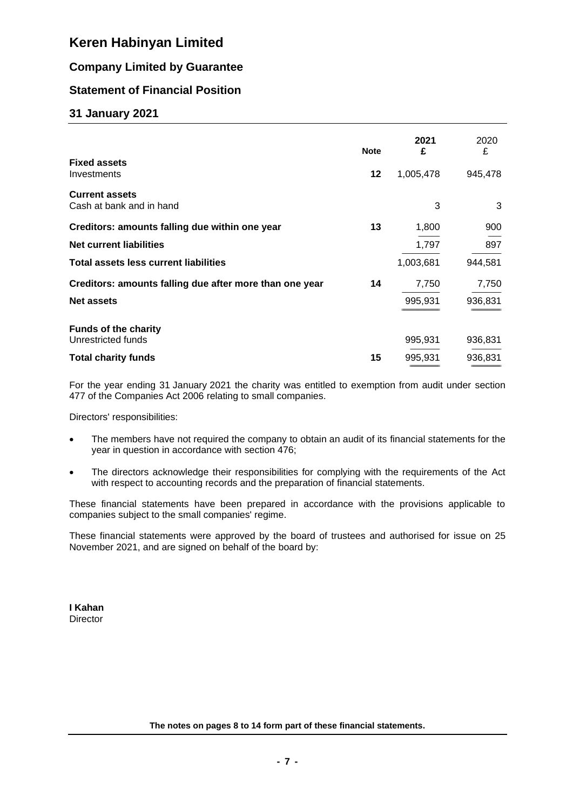### **Company Limited by Guarantee**

### **Statement of Financial Position**

### **31 January 2021**

|                                                         | <b>Note</b> | 2021<br>£ | 2020<br>£ |
|---------------------------------------------------------|-------------|-----------|-----------|
| <b>Fixed assets</b><br>Investments                      | 12          | 1,005,478 | 945,478   |
| <b>Current assets</b><br>Cash at bank and in hand       |             | 3         | 3         |
| Creditors: amounts falling due within one year          | 13          | 1,800     | 900       |
| <b>Net current liabilities</b>                          |             | 1,797     | 897       |
| <b>Total assets less current liabilities</b>            |             | 1,003,681 | 944,581   |
| Creditors: amounts falling due after more than one year | 14          | 7,750     | 7,750     |
| <b>Net assets</b>                                       |             | 995,931   | 936,831   |
| <b>Funds of the charity</b><br>Unrestricted funds       |             | 995,931   | 936,831   |
| <b>Total charity funds</b>                              | 15          | 995,931   | 936,831   |

For the year ending 31 January 2021 the charity was entitled to exemption from audit under section 477 of the Companies Act 2006 relating to small companies.

Directors' responsibilities:

- The members have not required the company to obtain an audit of its financial statements for the year in question in accordance with section 476;
- The directors acknowledge their responsibilities for complying with the requirements of the Act with respect to accounting records and the preparation of financial statements.

These financial statements have been prepared in accordance with the provisions applicable to companies subject to the small companies' regime.

These financial statements were approved by the board of trustees and authorised for issue on 25 November 2021, and are signed on behalf of the board by:

**I Kahan Director**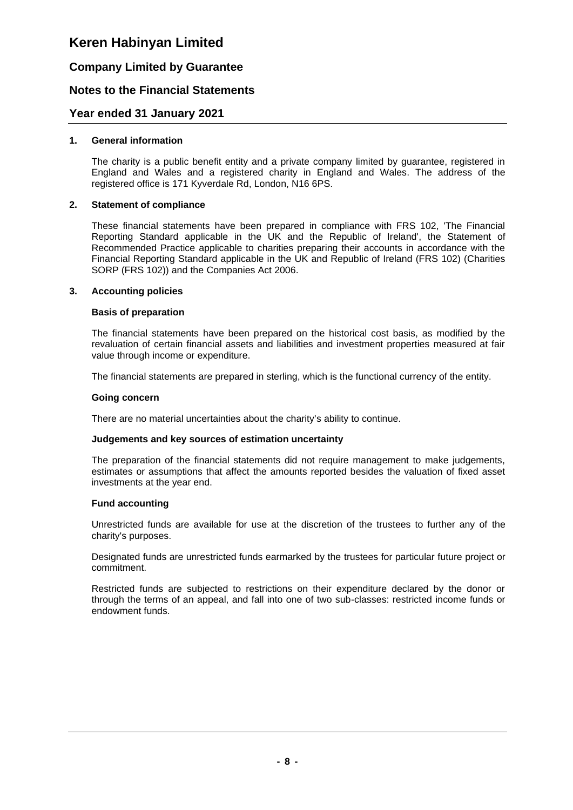### **Company Limited by Guarantee**

### **Notes to the Financial Statements**

### **Year ended 31 January 2021**

### **1. General information**

The charity is a public benefit entity and a private company limited by guarantee, registered in England and Wales and a registered charity in England and Wales. The address of the registered office is 171 Kyverdale Rd, London, N16 6PS.

### **2. Statement of compliance**

These financial statements have been prepared in compliance with FRS 102, 'The Financial Reporting Standard applicable in the UK and the Republic of Ireland', the Statement of Recommended Practice applicable to charities preparing their accounts in accordance with the Financial Reporting Standard applicable in the UK and Republic of Ireland (FRS 102) (Charities SORP (FRS 102)) and the Companies Act 2006.

### **3. Accounting policies**

### **Basis of preparation**

The financial statements have been prepared on the historical cost basis, as modified by the revaluation of certain financial assets and liabilities and investment properties measured at fair value through income or expenditure.

The financial statements are prepared in sterling, which is the functional currency of the entity.

#### **Going concern**

There are no material uncertainties about the charity's ability to continue.

### **Judgements and key sources of estimation uncertainty**

The preparation of the financial statements did not require management to make judgements, estimates or assumptions that affect the amounts reported besides the valuation of fixed asset investments at the year end.

### **Fund accounting**

Unrestricted funds are available for use at the discretion of the trustees to further any of the charity's purposes.

Designated funds are unrestricted funds earmarked by the trustees for particular future project or commitment.

Restricted funds are subjected to restrictions on their expenditure declared by the donor or through the terms of an appeal, and fall into one of two sub-classes: restricted income funds or endowment funds.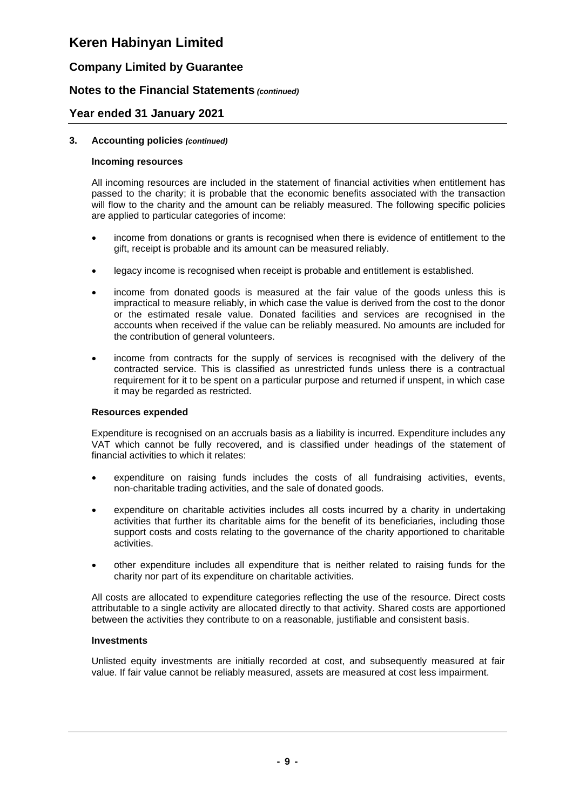### **Company Limited by Guarantee**

### **Notes to the Financial Statements** *(continued)*

### **Year ended 31 January 2021**

### **3. Accounting policies** *(continued)*

#### **Incoming resources**

All incoming resources are included in the statement of financial activities when entitlement has passed to the charity; it is probable that the economic benefits associated with the transaction will flow to the charity and the amount can be reliably measured. The following specific policies are applied to particular categories of income:

- income from donations or grants is recognised when there is evidence of entitlement to the gift, receipt is probable and its amount can be measured reliably.
- legacy income is recognised when receipt is probable and entitlement is established.
- income from donated goods is measured at the fair value of the goods unless this is impractical to measure reliably, in which case the value is derived from the cost to the donor or the estimated resale value. Donated facilities and services are recognised in the accounts when received if the value can be reliably measured. No amounts are included for the contribution of general volunteers.
- income from contracts for the supply of services is recognised with the delivery of the contracted service. This is classified as unrestricted funds unless there is a contractual requirement for it to be spent on a particular purpose and returned if unspent, in which case it may be regarded as restricted.

### **Resources expended**

Expenditure is recognised on an accruals basis as a liability is incurred. Expenditure includes any VAT which cannot be fully recovered, and is classified under headings of the statement of financial activities to which it relates:

- expenditure on raising funds includes the costs of all fundraising activities, events, non-charitable trading activities, and the sale of donated goods.
- expenditure on charitable activities includes all costs incurred by a charity in undertaking activities that further its charitable aims for the benefit of its beneficiaries, including those support costs and costs relating to the governance of the charity apportioned to charitable activities.
- other expenditure includes all expenditure that is neither related to raising funds for the charity nor part of its expenditure on charitable activities.

All costs are allocated to expenditure categories reflecting the use of the resource. Direct costs attributable to a single activity are allocated directly to that activity. Shared costs are apportioned between the activities they contribute to on a reasonable, justifiable and consistent basis.

### **Investments**

Unlisted equity investments are initially recorded at cost, and subsequently measured at fair value. If fair value cannot be reliably measured, assets are measured at cost less impairment.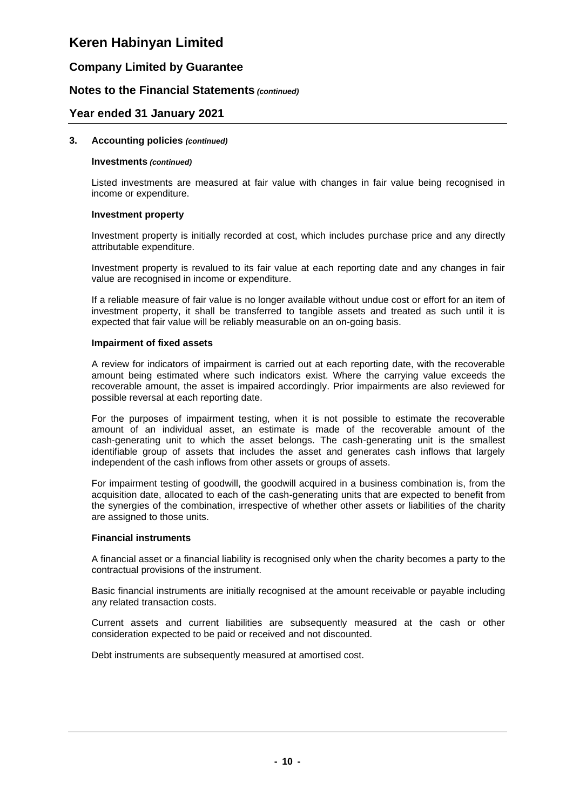### **Company Limited by Guarantee**

### **Notes to the Financial Statements** *(continued)*

### **Year ended 31 January 2021**

#### **3. Accounting policies** *(continued)*

#### **Investments** *(continued)*

Listed investments are measured at fair value with changes in fair value being recognised in income or expenditure.

#### **Investment property**

Investment property is initially recorded at cost, which includes purchase price and any directly attributable expenditure.

Investment property is revalued to its fair value at each reporting date and any changes in fair value are recognised in income or expenditure.

If a reliable measure of fair value is no longer available without undue cost or effort for an item of investment property, it shall be transferred to tangible assets and treated as such until it is expected that fair value will be reliably measurable on an on-going basis.

#### **Impairment of fixed assets**

A review for indicators of impairment is carried out at each reporting date, with the recoverable amount being estimated where such indicators exist. Where the carrying value exceeds the recoverable amount, the asset is impaired accordingly. Prior impairments are also reviewed for possible reversal at each reporting date.

For the purposes of impairment testing, when it is not possible to estimate the recoverable amount of an individual asset, an estimate is made of the recoverable amount of the cash-generating unit to which the asset belongs. The cash-generating unit is the smallest identifiable group of assets that includes the asset and generates cash inflows that largely independent of the cash inflows from other assets or groups of assets.

For impairment testing of goodwill, the goodwill acquired in a business combination is, from the acquisition date, allocated to each of the cash-generating units that are expected to benefit from the synergies of the combination, irrespective of whether other assets or liabilities of the charity are assigned to those units.

### **Financial instruments**

A financial asset or a financial liability is recognised only when the charity becomes a party to the contractual provisions of the instrument.

Basic financial instruments are initially recognised at the amount receivable or payable including any related transaction costs.

Current assets and current liabilities are subsequently measured at the cash or other consideration expected to be paid or received and not discounted.

Debt instruments are subsequently measured at amortised cost.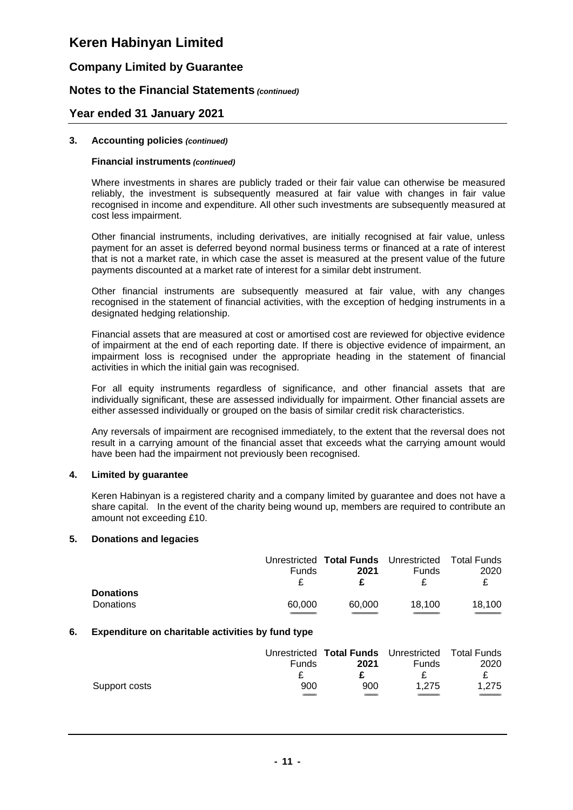### **Company Limited by Guarantee**

### **Notes to the Financial Statements** *(continued)*

### **Year ended 31 January 2021**

#### **3. Accounting policies** *(continued)*

#### **Financial instruments** *(continued)*

Where investments in shares are publicly traded or their fair value can otherwise be measured reliably, the investment is subsequently measured at fair value with changes in fair value recognised in income and expenditure. All other such investments are subsequently measured at cost less impairment.

Other financial instruments, including derivatives, are initially recognised at fair value, unless payment for an asset is deferred beyond normal business terms or financed at a rate of interest that is not a market rate, in which case the asset is measured at the present value of the future payments discounted at a market rate of interest for a similar debt instrument.

Other financial instruments are subsequently measured at fair value, with any changes recognised in the statement of financial activities, with the exception of hedging instruments in a designated hedging relationship.

Financial assets that are measured at cost or amortised cost are reviewed for objective evidence of impairment at the end of each reporting date. If there is objective evidence of impairment, an impairment loss is recognised under the appropriate heading in the statement of financial activities in which the initial gain was recognised.

For all equity instruments regardless of significance, and other financial assets that are individually significant, these are assessed individually for impairment. Other financial assets are either assessed individually or grouped on the basis of similar credit risk characteristics.

Any reversals of impairment are recognised immediately, to the extent that the reversal does not result in a carrying amount of the financial asset that exceeds what the carrying amount would have been had the impairment not previously been recognised.

### **4. Limited by guarantee**

Keren Habinyan is a registered charity and a company limited by guarantee and does not have a share capital. In the event of the charity being wound up, members are required to contribute an amount not exceeding £10.

### **5. Donations and legacies**

|                  |        | Unrestricted Total Funds Unrestricted Total Funds |              |        |
|------------------|--------|---------------------------------------------------|--------------|--------|
|                  | Funds  | 2021                                              | <b>Funds</b> | 2020   |
|                  |        | £.                                                |              | £.     |
| <b>Donations</b> |        |                                                   |              |        |
| Donations        | 60.000 | 60.000                                            | 18.100       | 18.100 |
|                  |        |                                                   |              |        |

### **6. Expenditure on charitable activities by fund type**

|               |       | Unrestricted Total Funds Unrestricted Total Funds |              |       |
|---------------|-------|---------------------------------------------------|--------------|-------|
|               | Funds | 2021                                              | <b>Funds</b> | 2020  |
|               |       |                                                   |              |       |
| Support costs | 900   | 900                                               | 1.275        | 1.275 |
|               |       |                                                   |              |       |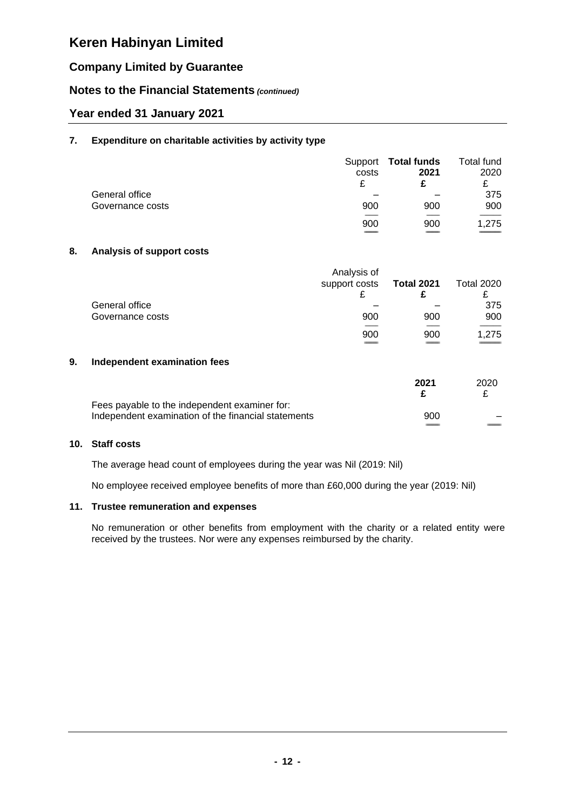### **Company Limited by Guarantee**

### **Notes to the Financial Statements** *(continued)*

### **Year ended 31 January 2021**

### **7. Expenditure on charitable activities by activity type**

|                  | Support<br>costs<br>£ | Total funds<br>2021 | Total fund<br>2020<br>£ |
|------------------|-----------------------|---------------------|-------------------------|
| General office   |                       |                     | 375                     |
| Governance costs | 900                   | 900                 | 900                     |
|                  |                       |                     |                         |
|                  | 900                   | 900                 | 1,275                   |
|                  |                       |                     |                         |

### **8. Analysis of support costs**

|                  | Analysis of<br>support costs | <b>Total 2021</b> | <b>Total 2020</b> |
|------------------|------------------------------|-------------------|-------------------|
| General office   |                              |                   | 375               |
| Governance costs | 900                          | 900               | 900               |
|                  | 900                          | 900               | 1,275             |

### **9. Independent examination fees**

|                                                     | 2021 | 2020 |
|-----------------------------------------------------|------|------|
| Fees payable to the independent examiner for:       |      |      |
| Independent examination of the financial statements | 900  |      |
|                                                     |      |      |

### **10. Staff costs**

The average head count of employees during the year was Nil (2019: Nil)

No employee received employee benefits of more than £60,000 during the year (2019: Nil)

### **11. Trustee remuneration and expenses**

No remuneration or other benefits from employment with the charity or a related entity were received by the trustees. Nor were any expenses reimbursed by the charity.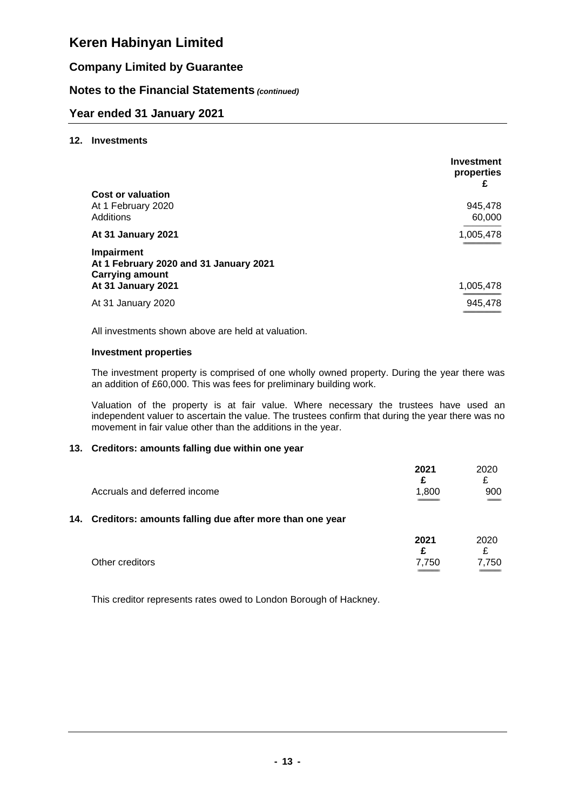### **Company Limited by Guarantee**

### **Notes to the Financial Statements** *(continued)*

### **Year ended 31 January 2021**

### **12. Investments**

|                                                                                | <b>Investment</b><br>properties<br>£ |
|--------------------------------------------------------------------------------|--------------------------------------|
| <b>Cost or valuation</b>                                                       |                                      |
| At 1 February 2020<br>Additions                                                | 945,478<br>60,000                    |
| At 31 January 2021                                                             | 1,005,478                            |
| Impairment<br>At 1 February 2020 and 31 January 2021<br><b>Carrying amount</b> |                                      |
| At 31 January 2021                                                             | 1,005,478                            |
| At 31 January 2020                                                             | 945,478                              |

All investments shown above are held at valuation.

#### **Investment properties**

The investment property is comprised of one wholly owned property. During the year there was an addition of £60,000. This was fees for preliminary building work.

Valuation of the property is at fair value. Where necessary the trustees have used an independent valuer to ascertain the value. The trustees confirm that during the year there was no movement in fair value other than the additions in the year.

### **13. Creditors: amounts falling due within one year**

|                                                             | 2021  | 2020   |
|-------------------------------------------------------------|-------|--------|
|                                                             |       |        |
| Accruals and deferred income                                | 1.800 | 900    |
|                                                             |       | $\sim$ |
| 14. Creditors: amounts falling due after more than one year |       |        |

|                 | 2021  | 2020        |
|-----------------|-------|-------------|
|                 |       |             |
| Other creditors | 7.750 | 7,750       |
|                 |       | ___________ |

This creditor represents rates owed to London Borough of Hackney.